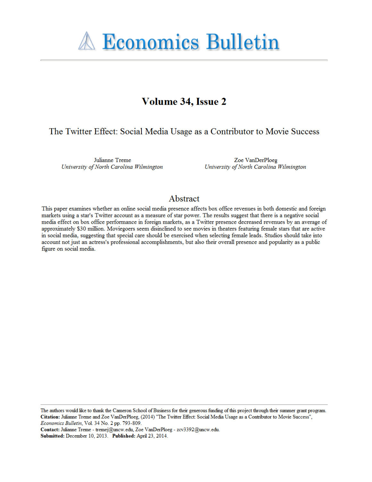

# Volume 34, Issue 2

# The Twitter Effect: Social Media Usage as a Contributor to Movie Success

Julianne Treme University of North Carolina Wilmington

Zoe VanDerPloeg University of North Carolina Wilmington

# Abstract

This paper examines whether an online social media presence affects box office revenues in both domestic and foreign markets using a star's Twitter account as a measure of star power. The results suggest that there is a negative social media effect on box office performance in foreign markets, as a Twitter presence decreased revenues by an average of approximately \$30 million. Moviegoers seem disinclined to see movies in theaters featuring female stars that are active in social media, suggesting that special care should be exercised when selecting female leads. Studios should take into account not just an actress's professional accomplishments, but also their overall presence and popularity as a public figure on social media.

The authors would like to thank the Cameron School of Business for their generous funding of this project through their summer grant program. Citation: Julianne Treme and Zoe VanDerPloeg, (2014) "The Twitter Effect: Social Media Usage as a Contributor to Movie Success", Economics Bulletin, Vol. 34 No. 2 pp. 793-809.

Contact: Julianne Treme - tremej@uncw.edu, Zoe VanDerPloeg - zcv3392@uncw.edu. Submitted: December 10, 2013. Published: April 23, 2014.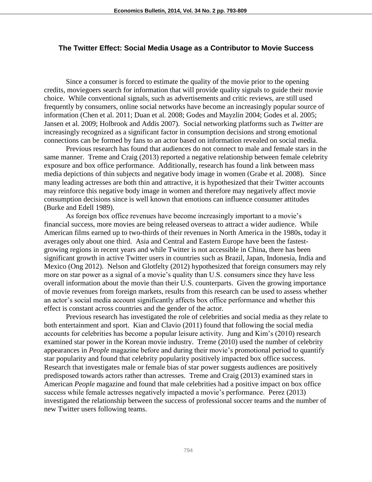## **The Twitter Effect: Social Media Usage as a Contributor to Movie Success**

Since a consumer is forced to estimate the quality of the movie prior to the opening credits, moviegoers search for information that will provide quality signals to guide their movie choice. While conventional signals, such as advertisements and critic reviews, are still used frequently by consumers, online social networks have become an increasingly popular source of information (Chen et al. 2011; Duan et al. 2008; Godes and Mayzlin 2004; Godes et al. 2005; Jansen et al. 2009; Holbrook and Addis 2007). Social networking platforms such as *Twitter* are increasingly recognized as a significant factor in consumption decisions and strong emotional connections can be formed by fans to an actor based on information revealed on social media.

Previous research has found that audiences do not connect to male and female stars in the same manner. Treme and Craig (2013) reported a negative relationship between female celebrity exposure and box office performance. Additionally, research has found a link between mass media depictions of thin subjects and negative body image in women (Grabe et al. 2008). Since many leading actresses are both thin and attractive, it is hypothesized that their Twitter accounts may reinforce this negative body image in women and therefore may negatively affect movie consumption decisions since is well known that emotions can influence consumer attitudes (Burke and Edell 1989).

As foreign box office revenues have become increasingly important to a movie's financial success, more movies are being released overseas to attract a wider audience. While American films earned up to two-thirds of their revenues in North America in the 1980s, today it averages only about one third. Asia and Central and Eastern Europe have been the fastestgrowing regions in recent years and while Twitter is not accessible in China, there has been significant growth in active Twitter users in countries such as Brazil, Japan, Indonesia, India and Mexico (Ong 2012). Nelson and Glotfelty (2012) hypothesized that foreign consumers may rely more on star power as a signal of a movie's quality than U.S. consumers since they have less overall information about the movie than their U.S. counterparts. Given the growing importance of movie revenues from foreign markets, results from this research can be used to assess whether an actor's social media account significantly affects box office performance and whether this effect is constant across countries and the gender of the actor.

Previous research has investigated the role of celebrities and social media as they relate to both entertainment and sport. Kian and Clavio (2011) found that following the social media accounts for celebrities has become a popular leisure activity. Jung and Kim's (2010) research examined star power in the Korean movie industry. Treme (2010) used the number of celebrity appearances in *People* magazine before and during their movie's promotional period to quantify star popularity and found that celebrity popularity positively impacted box office success. Research that investigates male or female bias of star power suggests audiences are positively predisposed towards actors rather than actresses. Treme and Craig (2013) examined stars in American *People* magazine and found that male celebrities had a positive impact on box office success while female actresses negatively impacted a movie's performance. Perez (2013) investigated the relationship between the success of professional soccer teams and the number of new Twitter users following teams.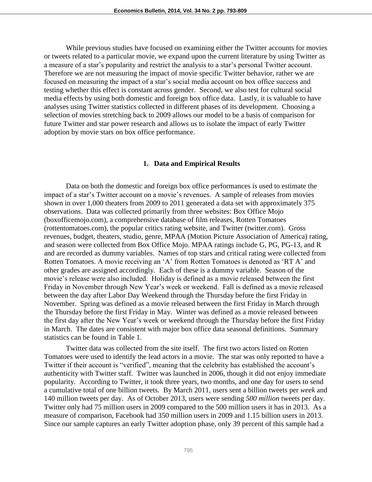While previous studies have focused on examining either the Twitter accounts for movies or tweets related to a particular movie, we expand upon the current literature by using Twitter as a measure of a star's popularity and restrict the analysis to a star's personal Twitter account. Therefore we are not measuring the impact of movie specific Twitter behavior, rather we are focused on measuring the impact of a star's social media account on box office success and testing whether this effect is constant across gender. Second, we also test for cultural social media effects by using both domestic and foreign box office data. Lastly, it is valuable to have analyses using Twitter statistics collected in different phases of its development. Choosing a selection of movies stretching back to 2009 allows our model to be a basis of comparison for future Twitter and star power research and allows us to isolate the impact of early Twitter adoption by movie stars on box office performance.

#### **1. Data and Empirical Results**

Data on both the domestic and foreign box office performances is used to estimate the impact of a star's Twitter account on a movie's revenues. A sample of releases from movies shown in over 1,000 theaters from 2009 to 2011 generated a data set with approximately 375 observations. Data was collected primarily from three websites: Box Office Mojo (boxofficemojo.com), a comprehensive database of film releases, Rotten Tomatoes (rottentomatoes.com), the popular critics rating website, and Twitter (twitter.com). Gross revenues, budget, theaters, studio, genre, MPAA (Motion Picture Association of America) rating, and season were collected from Box Office Mojo. MPAA ratings include G, PG, PG-13, and R and are recorded as dummy variables. Names of top stars and critical rating were collected from Rotten Tomatoes. A movie receiving an 'A' from Rotten Tomatoes is denoted as 'RT A' and other grades are assigned accordingly. Each of these is a dummy variable. Season of the movie's release were also included. Holiday is defined as a movie released between the first Friday in November through New Year's week or weekend. Fall is defined as a movie released between the day after Labor Day Weekend through the Thursday before the first Friday in November. Spring was defined as a movie released between the first Friday in March through the Thursday before the first Friday in May. Winter was defined as a movie released between the first day after the New Year's week or weekend through the Thursday before the first Friday in March. The dates are consistent with major box office data seasonal definitions. Summary statistics can be found in Table 1.

Twitter data was collected from the site itself. The first two actors listed on Rotten Tomatoes were used to identify the lead actors in a movie. The star was only reported to have a Twitter if their account is "verified", meaning that the celebrity has established the account's authenticity with Twitter staff. Twitter was launched in 2006, though it did not enjoy immediate popularity. According to Twitter, it took three years, two months, and one day for users to send a cumulative total of one billion tweets. By March 2011, users sent a billion tweets per *week* and 140 million tweets per day. As of October 2013, users were sending *500 million* tweets per day. Twitter only had 75 million users in 2009 compared to the 500 million users it has in 2013. As a measure of comparison, Facebook had 350 million users in 2009 and 1.15 billion users in 2013. Since our sample captures an early Twitter adoption phase, only 39 percent of this sample had a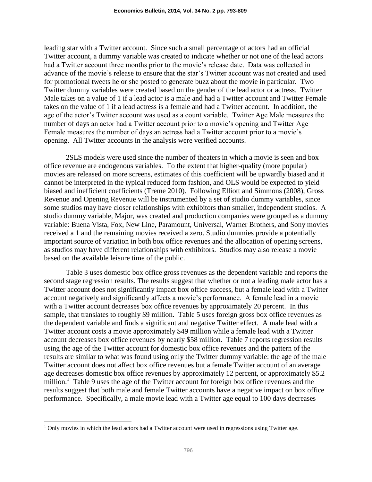leading star with a Twitter account. Since such a small percentage of actors had an official Twitter account, a dummy variable was created to indicate whether or not one of the lead actors had a Twitter account three months prior to the movie's release date. Data was collected in advance of the movie's release to ensure that the star's Twitter account was not created and used for promotional tweets he or she posted to generate buzz about the movie in particular. Two Twitter dummy variables were created based on the gender of the lead actor or actress. Twitter Male takes on a value of 1 if a lead actor is a male and had a Twitter account and Twitter Female takes on the value of 1 if a lead actress is a female and had a Twitter account. In addition, the age of the actor's Twitter account was used as a count variable. Twitter Age Male measures the number of days an actor had a Twitter account prior to a movie's opening and Twitter Age Female measures the number of days an actress had a Twitter account prior to a movie's opening. All Twitter accounts in the analysis were verified accounts.

2SLS models were used since the number of theaters in which a movie is seen and box office revenue are endogenous variables. To the extent that higher-quality (more popular) movies are released on more screens, estimates of this coefficient will be upwardly biased and it cannot be interpreted in the typical reduced form fashion, and OLS would be expected to yield biased and inefficient coefficients (Treme 2010). Following Elliott and Simmons (2008), Gross Revenue and Opening Revenue will be instrumented by a set of studio dummy variables, since some studios may have closer relationships with exhibitors than smaller, independent studios. A studio dummy variable, Major, was created and production companies were grouped as a dummy variable: Buena Vista, Fox, New Line, Paramount, Universal, Warner Brothers, and Sony movies received a 1 and the remaining movies received a zero. Studio dummies provide a potentially important source of variation in both box office revenues and the allocation of opening screens, as studios may have different relationships with exhibitors. Studios may also release a movie based on the available leisure time of the public.

Table 3 uses domestic box office gross revenues as the dependent variable and reports the second stage regression results. The results suggest that whether or not a leading male actor has a Twitter account does not significantly impact box office success, but a female lead with a Twitter account negatively and significantly affects a movie's performance. A female lead in a movie with a Twitter account decreases box office revenues by approximately 20 percent. In this sample, that translates to roughly \$9 million. Table 5 uses foreign gross box office revenues as the dependent variable and finds a significant and negative Twitter effect. A male lead with a Twitter account costs a movie approximately \$49 million while a female lead with a Twitter account decreases box office revenues by nearly \$58 million. Table 7 reports regression results using the age of the Twitter account for domestic box office revenues and the pattern of the results are similar to what was found using only the Twitter dummy variable: the age of the male Twitter account does not affect box office revenues but a female Twitter account of an average age decreases domestic box office revenues by approximately 12 percent, or approximately \$5.2 million.<sup>1</sup> Table 9 uses the age of the Twitter account for foreign box office revenues and the results suggest that both male and female Twitter accounts have a negative impact on box office performance. Specifically, a male movie lead with a Twitter age equal to 100 days decreases

 $\overline{a}$ 

 $1$  Only movies in which the lead actors had a Twitter account were used in regressions using Twitter age.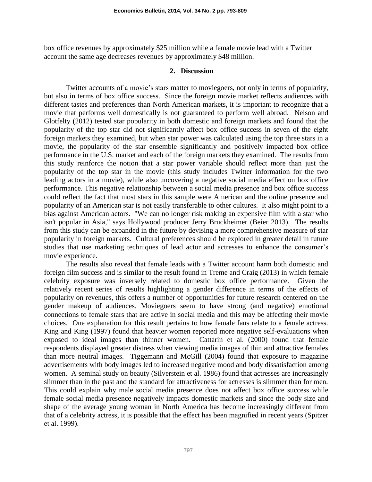box office revenues by approximately \$25 million while a female movie lead with a Twitter account the same age decreases revenues by approximately \$48 million.

#### **2. Discussion**

Twitter accounts of a movie's stars matter to moviegoers, not only in terms of popularity, but also in terms of box office success. Since the foreign movie market reflects audiences with different tastes and preferences than North American markets, it is important to recognize that a movie that performs well domestically is not guaranteed to perform well abroad. Nelson and Glotfelty (2012) tested star popularity in both domestic and foreign markets and found that the popularity of the top star did not significantly affect box office success in seven of the eight foreign markets they examined, but when star power was calculated using the top three stars in a movie, the popularity of the star ensemble significantly and positively impacted box office performance in the U.S. market and each of the foreign markets they examined. The results from this study reinforce the notion that a star power variable should reflect more than just the popularity of the top star in the movie (this study includes Twitter information for the two leading actors in a movie), while also uncovering a negative social media effect on box office performance. This negative relationship between a social media presence and box office success could reflect the fact that most stars in this sample were American and the online presence and popularity of an American star is not easily transferable to other cultures. It also might point to a bias against American actors. "We can no longer risk making an expensive film with a star who isn't popular in Asia," says Hollywood producer Jerry Bruckheimer (Beier 2013). The results from this study can be expanded in the future by devising a more comprehensive measure of star popularity in foreign markets. Cultural preferences should be explored in greater detail in future studies that use marketing techniques of lead actor and actresses to enhance the consumer's movie experience.

The results also reveal that female leads with a Twitter account harm both domestic and foreign film success and is similar to the result found in Treme and Craig (2013) in which female celebrity exposure was inversely related to domestic box office performance. Given the relatively recent series of results highlighting a gender difference in terms of the effects of popularity on revenues, this offers a number of opportunities for future research centered on the gender makeup of audiences. Moviegoers seem to have strong (and negative) emotional connections to female stars that are active in social media and this may be affecting their movie choices. One explanation for this result pertains to how female fans relate to a female actress. King and King (1997) found that heavier women reported more negative self-evaluations when exposed to ideal images than thinner women. Cattarin et al. (2000) found that female respondents displayed greater distress when viewing media images of thin and attractive females than more neutral images. Tiggemann and McGill (2004) found that exposure to magazine advertisements with body images led to increased negative mood and body dissatisfaction among women. A seminal study on beauty (Silverstein et al. 1986) found that actresses are increasingly slimmer than in the past and the standard for attractiveness for actresses is slimmer than for men. This could explain why male social media presence does not affect box office success while female social media presence negatively impacts domestic markets and since the body size and shape of the average young woman in North America has become increasingly different from that of a celebrity actress, it is possible that the effect has been magnified in recent years (Spitzer et al. 1999).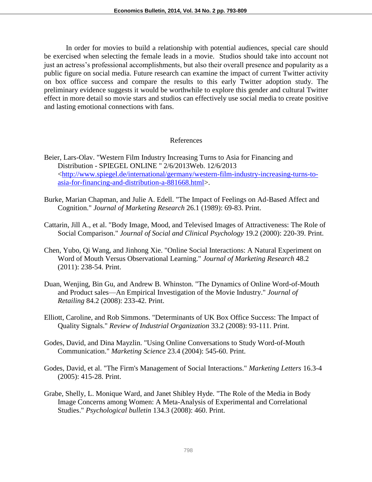In order for movies to build a relationship with potential audiences, special care should be exercised when selecting the female leads in a movie. Studios should take into account not just an actress's professional accomplishments, but also their overall presence and popularity as a public figure on social media. Future research can examine the impact of current Twitter activity on box office success and compare the results to this early Twitter adoption study. The preliminary evidence suggests it would be worthwhile to explore this gender and cultural Twitter effect in more detail so movie stars and studios can effectively use social media to create positive and lasting emotional connections with fans.

# References

- Beier, Lars-Olav. "Western Film Industry Increasing Turns to Asia for Financing and Distribution - SPIEGEL ONLINE " 2/6/2013Web. 12/6/2013 <http://www.spiegel.de/international/germany/western-film-industry-increasing-turns-toasia-for-financing-and-distribution-a-881668.html>.
- Burke, Marian Chapman, and Julie A. Edell. "The Impact of Feelings on Ad-Based Affect and Cognition." *Journal of Marketing Research* 26.1 (1989): 69-83. Print.
- Cattarin, Jill A., et al. "Body Image, Mood, and Televised Images of Attractiveness: The Role of Social Comparison." *Journal of Social and Clinical Psychology* 19.2 (2000): 220-39. Print.
- Chen, Yubo, Qi Wang, and Jinhong Xie. "Online Social Interactions: A Natural Experiment on Word of Mouth Versus Observational Learning." *Journal of Marketing Research* 48.2 (2011): 238-54. Print.
- Duan, Wenjing, Bin Gu, and Andrew B. Whinston. "The Dynamics of Online Word-of-Mouth and Product sales—An Empirical Investigation of the Movie Industry." *Journal of Retailing* 84.2 (2008): 233-42. Print.
- Elliott, Caroline, and Rob Simmons. "Determinants of UK Box Office Success: The Impact of Quality Signals." *Review of Industrial Organization* 33.2 (2008): 93-111. Print.
- Godes, David, and Dina Mayzlin. "Using Online Conversations to Study Word-of-Mouth Communication." *Marketing Science* 23.4 (2004): 545-60. Print.
- Godes, David, et al. "The Firm's Management of Social Interactions." *Marketing Letters* 16.3-4 (2005): 415-28. Print.
- Grabe, Shelly, L. Monique Ward, and Janet Shibley Hyde. "The Role of the Media in Body Image Concerns among Women: A Meta-Analysis of Experimental and Correlational Studies." *Psychological bulletin* 134.3 (2008): 460. Print.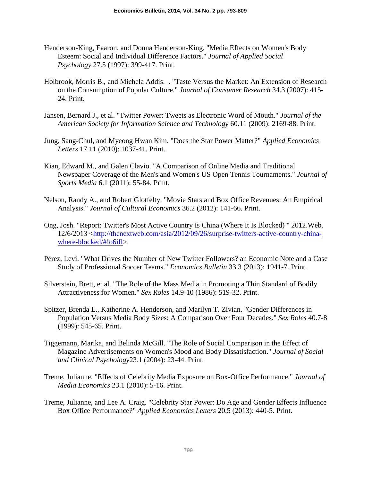- Henderson-King, Eaaron, and Donna Henderson-King. "Media Effects on Women's Body Esteem: Social and Individual Difference Factors." *Journal of Applied Social Psychology* 27.5 (1997): 399-417. Print.
- Holbrook, Morris B., and Michela Addis. . "Taste Versus the Market: An Extension of Research on the Consumption of Popular Culture." *Journal of Consumer Research* 34.3 (2007): 415- 24. Print.
- Jansen, Bernard J., et al. "Twitter Power: Tweets as Electronic Word of Mouth." *Journal of the American Society for Information Science and Technology* 60.11 (2009): 2169-88. Print.
- Jung, Sang-Chul, and Myeong Hwan Kim. "Does the Star Power Matter?" *Applied Economics Letters* 17.11 (2010): 1037-41. Print.
- Kian, Edward M., and Galen Clavio. "A Comparison of Online Media and Traditional Newspaper Coverage of the Men's and Women's US Open Tennis Tournaments." *Journal of Sports Media* 6.1 (2011): 55-84. Print.
- Nelson, Randy A., and Robert Glotfelty. "Movie Stars and Box Office Revenues: An Empirical Analysis." *Journal of Cultural Economics* 36.2 (2012): 141-66. Print.
- Ong, Josh. "Report: Twitter's Most Active Country Is China (Where It Is Blocked) " 2012.Web. 12/6/2013 <http://thenextweb.com/asia/2012/09/26/surprise-twitters-active-country-chinawhere-blocked/#!o6iIl>.
- Pérez, Levi. "What Drives the Number of New Twitter Followers? an Economic Note and a Case Study of Professional Soccer Teams." *Economics Bulletin* 33.3 (2013): 1941-7. Print.
- Silverstein, Brett, et al. "The Role of the Mass Media in Promoting a Thin Standard of Bodily Attractiveness for Women." *Sex Roles* 14.9-10 (1986): 519-32. Print.
- Spitzer, Brenda L., Katherine A. Henderson, and Marilyn T. Zivian. "Gender Differences in Population Versus Media Body Sizes: A Comparison Over Four Decades." *Sex Roles* 40.7-8 (1999): 545-65. Print.
- Tiggemann, Marika, and Belinda McGill. "The Role of Social Comparison in the Effect of Magazine Advertisements on Women's Mood and Body Dissatisfaction." *Journal of Social and Clinical Psychology*23.1 (2004): 23-44. Print.
- Treme, Julianne. "Effects of Celebrity Media Exposure on Box-Office Performance." *Journal of Media Economics* 23.1 (2010): 5-16. Print.
- Treme, Julianne, and Lee A. Craig. "Celebrity Star Power: Do Age and Gender Effects Influence Box Office Performance?" *Applied Economics Letters* 20.5 (2013): 440-5. Print.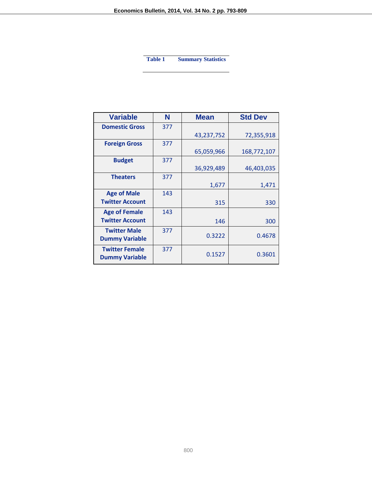**Table 1 Summary Statistics**

| <b>Variable</b>                                | N   | Mean       | <b>Std Dev</b> |
|------------------------------------------------|-----|------------|----------------|
| <b>Domestic Gross</b>                          | 377 |            |                |
|                                                |     | 43,237,752 | 72,355,918     |
| <b>Foreign Gross</b>                           | 377 |            |                |
|                                                |     | 65,059,966 | 168,772,107    |
| <b>Budget</b>                                  | 377 |            |                |
|                                                |     | 36,929,489 | 46,403,035     |
| <b>Theaters</b>                                | 377 |            |                |
|                                                |     | 1,677      | 1,471          |
| <b>Age of Male</b>                             | 143 |            |                |
| <b>Twitter Account</b>                         |     | 315        | 330            |
| <b>Age of Female</b>                           | 143 |            |                |
| <b>Twitter Account</b>                         |     | 146        | 300            |
| <b>Twitter Male</b><br><b>Dummy Variable</b>   | 377 | 0.3222     | 0.4678         |
| <b>Twitter Female</b><br><b>Dummy Variable</b> | 377 | 0.1527     | 0.3601         |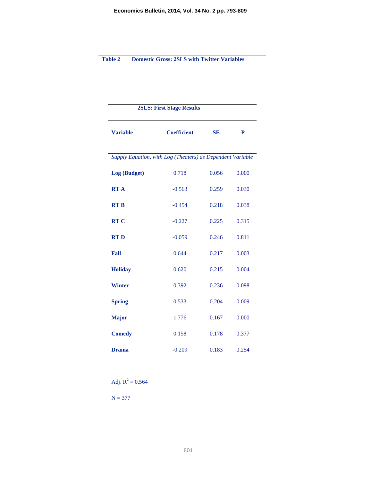#### **Table 2 Domestic Gross: 2SLS with Twitter Variables**

| <b>2SLS: First Stage Results</b>                           |                    |           |       |  |  |
|------------------------------------------------------------|--------------------|-----------|-------|--|--|
| <b>Variable</b>                                            | <b>Coefficient</b> | <b>SE</b> | P     |  |  |
| Supply Equation, with Log (Theaters) as Dependent Variable |                    |           |       |  |  |
| Log (Budget)                                               | 0.718              | 0.056     | 0.000 |  |  |
| <b>RTA</b>                                                 | $-0.563$           | 0.259     | 0.030 |  |  |
| <b>RTB</b>                                                 | $-0.454$           | 0.218     | 0.038 |  |  |
| <b>RT C</b>                                                | $-0.227$           | 0.225     | 0.315 |  |  |
| <b>RTD</b>                                                 | $-0.059$           | 0.246     | 0.811 |  |  |
| Fall                                                       | 0.644              | 0.217     | 0.003 |  |  |
| <b>Holiday</b>                                             | 0.620              | 0.215     | 0.004 |  |  |
| <b>Winter</b>                                              | 0.392              | 0.236     | 0.098 |  |  |
| <b>Spring</b>                                              | 0.533              | 0.204     | 0.009 |  |  |
| <b>Major</b>                                               | 1.776              | 0.167     | 0.000 |  |  |
| <b>Comedy</b>                                              | 0.158              | 0.178     | 0.377 |  |  |
| <b>Drama</b>                                               | $-0.209$           | 0.183     | 0.254 |  |  |

Adj.  $R^2 = 0.564$ 

 $N = 377$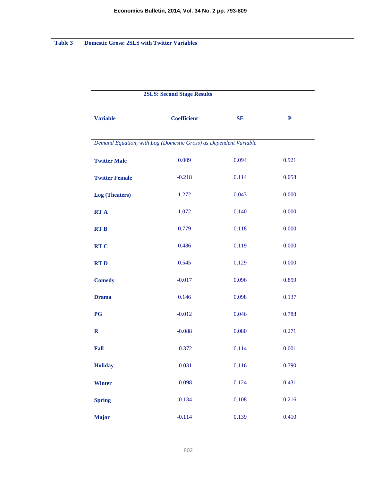# **Table 3 Domestic Gross: 2SLS with Twitter Variables**

| <b>2SLS: Second Stage Results</b> |                                                                  |       |           |  |
|-----------------------------------|------------------------------------------------------------------|-------|-----------|--|
| <b>Variable</b>                   | <b>Coefficient</b>                                               | SE    | ${\bf P}$ |  |
|                                   | Demand Equation, with Log (Domestic Gross) as Dependent Variable |       |           |  |
| <b>Twitter Male</b>               | 0.009                                                            | 0.094 | 0.921     |  |
| <b>Twitter Female</b>             | $-0.218$                                                         | 0.114 | 0.058     |  |
| <b>Log</b> (Theaters)             | 1.272                                                            | 0.043 | 0.000     |  |
| <b>RTA</b>                        | 1.072                                                            | 0.140 | 0.000     |  |
| <b>RTB</b>                        | 0.779                                                            | 0.118 | 0.000     |  |
| <b>RTC</b>                        | 0.486                                                            | 0.119 | 0.000     |  |
| <b>RTD</b>                        | 0.545                                                            | 0.129 | 0.000     |  |
| <b>Comedy</b>                     | $-0.017$                                                         | 0.096 | 0.859     |  |
| <b>Drama</b>                      | 0.146                                                            | 0.098 | 0.137     |  |
| <b>PG</b>                         | $-0.012$                                                         | 0.046 | 0.788     |  |
| $\mathbf R$                       | $-0.088$                                                         | 0.080 | 0.271     |  |
| Fall                              | $-0.372$                                                         | 0.114 | 0.001     |  |
| <b>Holiday</b>                    | $-0.031$                                                         | 0.116 | 0.790     |  |
| <b>Winter</b>                     | $-0.098$                                                         | 0.124 | 0.431     |  |
| <b>Spring</b>                     | $-0.134$                                                         | 0.108 | 0.216     |  |
| <b>Major</b>                      | $-0.114$                                                         | 0.139 | 0.410     |  |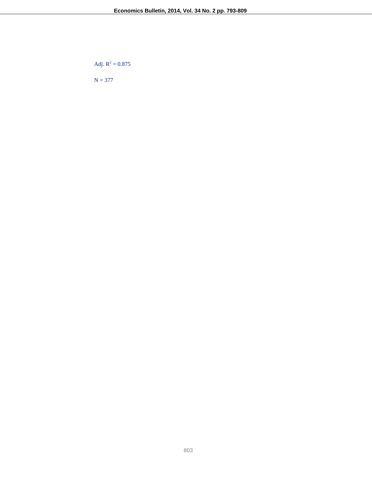Adj.  $R^2 = 0.875$ 

 $N = 377$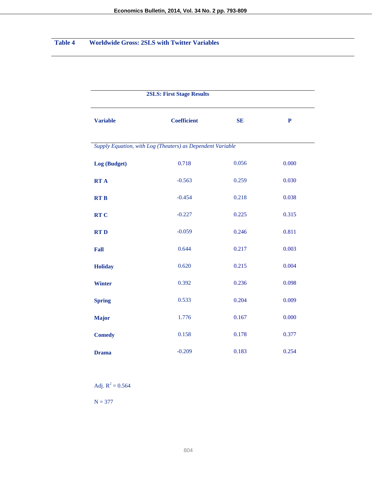# **Table 4 Worldwide Gross: 2SLS with Twitter Variables**

|                 | <b>2SLS: First Stage Results</b>                           |           |           |  |  |
|-----------------|------------------------------------------------------------|-----------|-----------|--|--|
| <b>Variable</b> | <b>Coefficient</b>                                         | <b>SE</b> | ${\bf P}$ |  |  |
|                 | Supply Equation, with Log (Theaters) as Dependent Variable |           |           |  |  |
| Log (Budget)    | 0.718                                                      | 0.056     | 0.000     |  |  |
| <b>RTA</b>      | $-0.563$                                                   | 0.259     | 0.030     |  |  |
| <b>RTB</b>      | $-0.454$                                                   | 0.218     | 0.038     |  |  |
| <b>RTC</b>      | $-0.227$                                                   | 0.225     | 0.315     |  |  |
| <b>RTD</b>      | $-0.059$                                                   | 0.246     | 0.811     |  |  |
| Fall            | 0.644                                                      | 0.217     | 0.003     |  |  |
| <b>Holiday</b>  | 0.620                                                      | 0.215     | 0.004     |  |  |
| <b>Winter</b>   | 0.392                                                      | 0.236     | 0.098     |  |  |
| <b>Spring</b>   | 0.533                                                      | 0.204     | 0.009     |  |  |
| <b>Major</b>    | 1.776                                                      | 0.167     | 0.000     |  |  |
| <b>Comedy</b>   | 0.158                                                      | 0.178     | 0.377     |  |  |
| <b>Drama</b>    | $-0.209$                                                   | 0.183     | 0.254     |  |  |

Adj.  $R^2 = 0.564$ 

 $N = 377$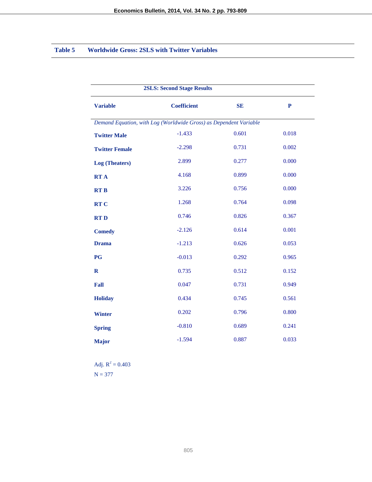# **Table 5 Worldwide Gross: 2SLS with Twitter Variables**

| <b>2SLS: Second Stage Results</b> |                                                                   |           |              |  |
|-----------------------------------|-------------------------------------------------------------------|-----------|--------------|--|
| <b>Variable</b>                   | <b>Coefficient</b>                                                | <b>SE</b> | $\mathbf{P}$ |  |
|                                   | Demand Equation, with Log (Worldwide Gross) as Dependent Variable |           |              |  |
| <b>Twitter Male</b>               | $-1.433$                                                          | 0.601     | 0.018        |  |
| <b>Twitter Female</b>             | $-2.298$                                                          | 0.731     | 0.002        |  |
| Log (Theaters)                    | 2.899                                                             | 0.277     | 0.000        |  |
| <b>RTA</b>                        | 4.168                                                             | 0.899     | 0.000        |  |
| <b>RTB</b>                        | 3.226                                                             | 0.756     | 0.000        |  |
| <b>RTC</b>                        | 1.268                                                             | 0.764     | 0.098        |  |
| <b>RTD</b>                        | 0.746                                                             | 0.826     | 0.367        |  |
| <b>Comedy</b>                     | $-2.126$                                                          | 0.614     | 0.001        |  |
| <b>Drama</b>                      | $-1.213$                                                          | 0.626     | 0.053        |  |
| <b>PG</b>                         | $-0.013$                                                          | 0.292     | 0.965        |  |
| $\mathbf R$                       | 0.735                                                             | 0.512     | 0.152        |  |
| Fall                              | 0.047                                                             | 0.731     | 0.949        |  |
| <b>Holiday</b>                    | 0.434                                                             | 0.745     | 0.561        |  |
| <b>Winter</b>                     | 0.202                                                             | 0.796     | 0.800        |  |
| <b>Spring</b>                     | $-0.810$                                                          | 0.689     | 0.241        |  |
| <b>Major</b>                      | $-1.594$                                                          | 0.887     | 0.033        |  |

Adj.  $R^2 = 0.403$  $N = 377$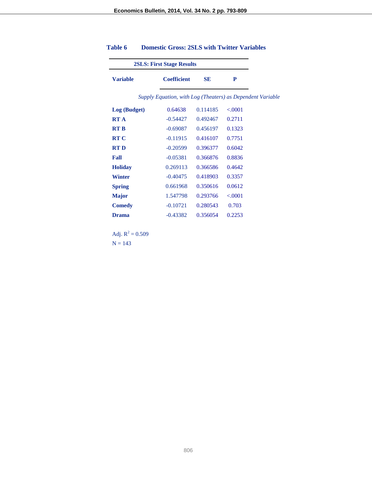| <b>2SLS: First Stage Results</b> |                                                            |           |         |  |
|----------------------------------|------------------------------------------------------------|-----------|---------|--|
| <b>Variable</b>                  | <b>Coefficient</b>                                         | <b>SE</b> | P       |  |
|                                  | Supply Equation, with Log (Theaters) as Dependent Variable |           |         |  |
| Log (Budget)                     | 0.64638                                                    | 0.114185  | < .0001 |  |
| <b>RT A</b>                      | $-0.54427$                                                 | 0.492467  | 0.2711  |  |
| <b>RT B</b>                      | $-0.69087$                                                 | 0.456197  | 0.1323  |  |
| <b>RT C</b>                      | $-0.11915$                                                 | 0.416107  | 0.7751  |  |
| <b>RTD</b>                       | $-0.20599$                                                 | 0.396377  | 0.6042  |  |
| Fall                             | $-0.05381$                                                 | 0.366876  | 0.8836  |  |
| <b>Holiday</b>                   | 0.269113                                                   | 0.366586  | 0.4642  |  |
| <b>Winter</b>                    | $-0.40475$                                                 | 0.418903  | 0.3357  |  |
| <b>Spring</b>                    | 0.661968                                                   | 0.350616  | 0.0612  |  |
| <b>Major</b>                     | 1.547798                                                   | 0.293766  | < .0001 |  |
| <b>Comedy</b>                    | $-0.10721$                                                 | 0.280543  | 0.703   |  |
| <b>Drama</b>                     | $-0.43382$                                                 | 0.356054  | 0.2253  |  |

# **Table 6 Domestic Gross: 2SLS with Twitter Variables**

Adj.  $R^2 = 0.509$  $N = 143$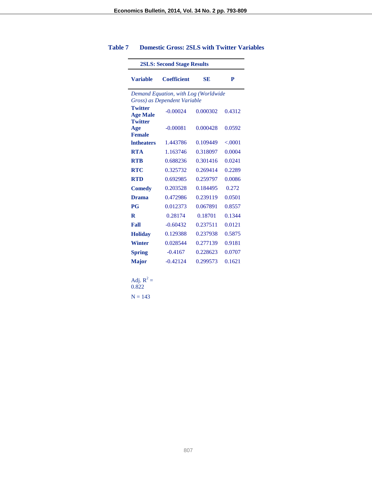| <b>2SLS: Second Stage Results</b>      |                                                                      |          |         |  |
|----------------------------------------|----------------------------------------------------------------------|----------|---------|--|
| <b>Variable</b>                        | <b>Coefficient</b>                                                   | SE       | P       |  |
|                                        | Demand Equation, with Log (Worldwide<br>Gross) as Dependent Variable |          |         |  |
| <b>Twitter</b><br><b>Age Male</b>      | $-0.00024$                                                           | 0.000302 | 0.4312  |  |
| <b>Twitter</b><br>Age<br><b>Female</b> | $-0.00081$                                                           | 0.000428 | 0.0592  |  |
| <b>Intheaters</b>                      | 1.443786                                                             | 0.109449 | < .0001 |  |
| <b>RTA</b>                             | 1.163746                                                             | 0.318097 | 0.0004  |  |
| <b>RTB</b>                             | 0.688236                                                             | 0.301416 | 0.0241  |  |
| <b>RTC</b>                             | 0.325732                                                             | 0.269414 | 0.2289  |  |
| <b>RTD</b>                             | 0.692985                                                             | 0.259797 | 0.0086  |  |
| <b>Comedy</b>                          | 0.203528                                                             | 0.184495 | 0.272   |  |
| <b>Drama</b>                           | 0.472986                                                             | 0.239119 | 0.0501  |  |
| <b>PG</b>                              | 0.012373                                                             | 0.067891 | 0.8557  |  |
| R                                      | 0.28174                                                              | 0.18701  | 0.1344  |  |
| Fall                                   | $-0.60432$                                                           | 0.237511 | 0.0121  |  |
| <b>Holidav</b>                         | 0.129388                                                             | 0.237938 | 0.5875  |  |
| <b>Winter</b>                          | 0.028544                                                             | 0.277139 | 0.9181  |  |
| <b>Spring</b>                          | $-0.4167$                                                            | 0.228623 | 0.0707  |  |
| <b>Major</b>                           | $-0.42124$                                                           | 0.299573 | 0.1621  |  |

# **Table 7 Domestic Gross: 2SLS with Twitter Variables**

$$
Adj. R2 = 0.822
$$

$$
N = 143
$$

807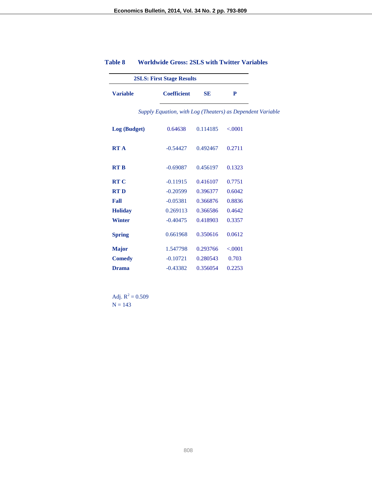| <b>2SLS: First Stage Results</b> |                    |           |                                                            |
|----------------------------------|--------------------|-----------|------------------------------------------------------------|
| <b>Variable</b>                  | <b>Coefficient</b> | <b>SE</b> | P                                                          |
|                                  |                    |           | Supply Equation, with Log (Theaters) as Dependent Variable |
| Log (Budget)                     | 0.64638            | 0.114185  | < .0001                                                    |
| <b>RTA</b>                       | $-0.54427$         | 0.492467  | 0.2711                                                     |
| <b>RTB</b>                       | $-0.69087$         | 0.456197  | 0.1323                                                     |
| <b>RTC</b>                       | $-0.11915$         | 0.416107  | 0.7751                                                     |
| <b>RTD</b>                       | $-0.20599$         | 0.396377  | 0.6042                                                     |
| Fall                             | $-0.05381$         | 0.366876  | 0.8836                                                     |
| <b>Holiday</b>                   | 0.269113           | 0.366586  | 0.4642                                                     |
| <b>Winter</b>                    | $-0.40475$         | 0.418903  | 0.3357                                                     |
| <b>Spring</b>                    | 0.661968           | 0.350616  | 0.0612                                                     |
| <b>Major</b>                     | 1.547798           | 0.293766  | < .0001                                                    |
| <b>Comedy</b>                    | $-0.10721$         | 0.280543  | 0.703                                                      |
| <b>Drama</b>                     | $-0.43382$         | 0.356054  | 0.2253                                                     |

# **Table 8 Worldwide Gross: 2SLS with Twitter Variables**

Adj.  $R^2 = 0.509$  $N = 143$